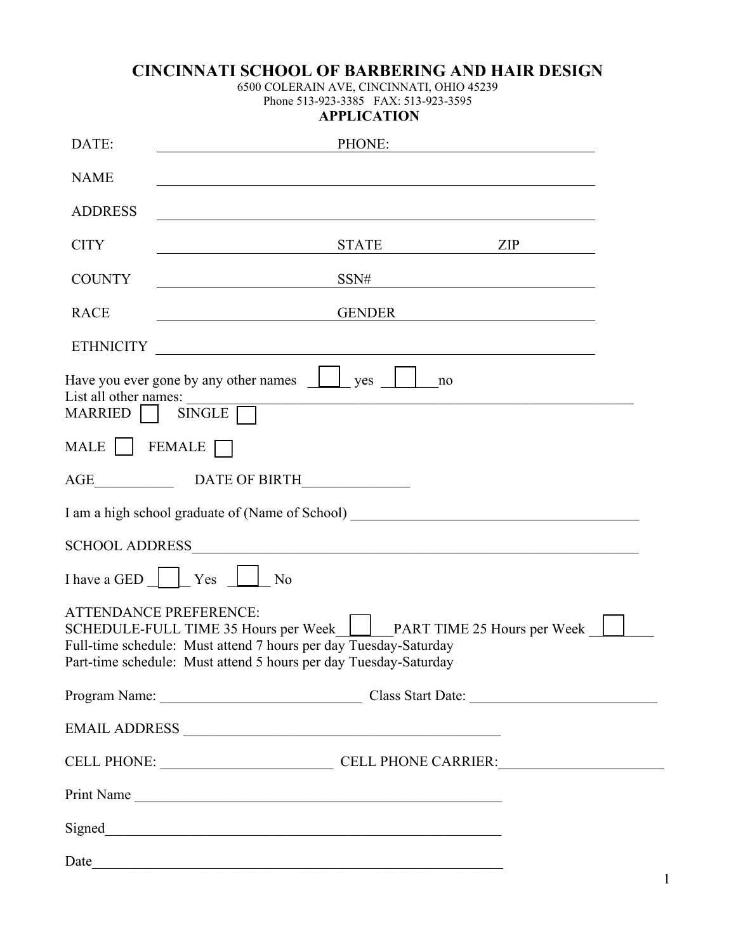## **CINCINNATI SCHOOL OF BARBERING AND HAIR DESIGN**

6500 COLERAIN AVE, CINCINNATI, OHIO 45239 Phone 513-923-3385 FAX: 513-923-3595

|  | <b>APPLICATION</b> |  |  |
|--|--------------------|--|--|
|  |                    |  |  |

| DATE:                            | PHONE:                                                                                                                                                                                                                                      |               |                                                         |  |  |  |
|----------------------------------|---------------------------------------------------------------------------------------------------------------------------------------------------------------------------------------------------------------------------------------------|---------------|---------------------------------------------------------|--|--|--|
| <b>NAME</b>                      |                                                                                                                                                                                                                                             |               |                                                         |  |  |  |
| <b>ADDRESS</b>                   |                                                                                                                                                                                                                                             |               |                                                         |  |  |  |
| <b>CITY</b>                      |                                                                                                                                                                                                                                             |               | ZIP                                                     |  |  |  |
| <b>COUNTY</b>                    |                                                                                                                                                                                                                                             | SSN#          |                                                         |  |  |  |
| <b>RACE</b>                      |                                                                                                                                                                                                                                             | <b>GENDER</b> | <u> 1989 - Johann Barbara, martin amerikan basar da</u> |  |  |  |
| <b>ETHNICITY</b>                 | <u> 1989 - Johann Stein, fransk politik (f. 1989)</u>                                                                                                                                                                                       |               |                                                         |  |  |  |
| List all other names:<br>MARRIED | Have you ever gone by any other names $\Box$ yes<br>SINGLE                                                                                                                                                                                  | no            |                                                         |  |  |  |
| MALE     FEMALE                  |                                                                                                                                                                                                                                             |               |                                                         |  |  |  |
|                                  |                                                                                                                                                                                                                                             |               |                                                         |  |  |  |
|                                  | I am a high school graduate of (Name of School) ________________________________                                                                                                                                                            |               |                                                         |  |  |  |
| <b>SCHOOL ADDRESS</b>            |                                                                                                                                                                                                                                             |               |                                                         |  |  |  |
| I have a GED   Yes               | No                                                                                                                                                                                                                                          |               |                                                         |  |  |  |
|                                  | <b>ATTENDANCE PREFERENCE:</b><br>SCHEDULE-FULL TIME 35 Hours per Week   PART TIME 25 Hours per Week<br>Full-time schedule: Must attend 7 hours per day Tuesday-Saturday<br>Part-time schedule: Must attend 5 hours per day Tuesday-Saturday |               |                                                         |  |  |  |
|                                  |                                                                                                                                                                                                                                             |               | Program Name: Class Start Date:                         |  |  |  |
|                                  |                                                                                                                                                                                                                                             |               |                                                         |  |  |  |
|                                  |                                                                                                                                                                                                                                             |               | CELL PHONE: CELL PHONE CARRIER:                         |  |  |  |
|                                  | Print Name                                                                                                                                                                                                                                  |               |                                                         |  |  |  |
|                                  |                                                                                                                                                                                                                                             |               |                                                         |  |  |  |
| Date                             |                                                                                                                                                                                                                                             |               |                                                         |  |  |  |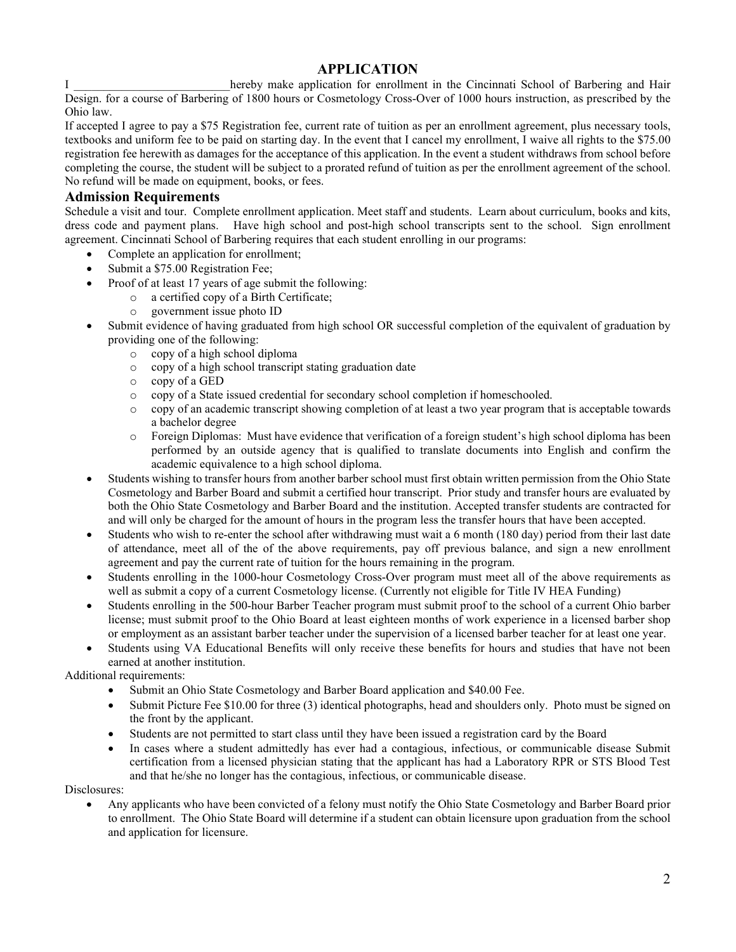### **APPLICATION**

I all the reby make application for enrollment in the Cincinnati School of Barbering and Hair Design. for a course of Barbering of 1800 hours or Cosmetology Cross-Over of 1000 hours instruction, as prescribed by the Ohio law.

If accepted I agree to pay a \$75 Registration fee, current rate of tuition as per an enrollment agreement, plus necessary tools, textbooks and uniform fee to be paid on starting day. In the event that I cancel my enrollment, I waive all rights to the \$75.00 registration fee herewith as damages for the acceptance of this application. In the event a student withdraws from school before completing the course, the student will be subject to a prorated refund of tuition as per the enrollment agreement of the school. No refund will be made on equipment, books, or fees.

#### **Admission Requirements**

Schedule a visit and tour. Complete enrollment application. Meet staff and students. Learn about curriculum, books and kits, dress code and payment plans. Have high school and post-high school transcripts sent to the school. Sign enrollment agreement. Cincinnati School of Barbering requires that each student enrolling in our programs:

- Complete an application for enrollment:
- Submit a \$75.00 Registration Fee;
- Proof of at least 17 years of age submit the following:
	- o a certified copy of a Birth Certificate;<br>
	o government issue photo ID
	- government issue photo ID
- Submit evidence of having graduated from high school OR successful completion of the equivalent of graduation by providing one of the following:
	- o copy of a high school diploma
	- o copy of a high school transcript stating graduation date
	- o copy of a GED
	- o copy of a State issued credential for secondary school completion if homeschooled.
	- o copy of an academic transcript showing completion of at least a two year program that is acceptable towards a bachelor degree
	- o Foreign Diplomas: Must have evidence that verification of a foreign student's high school diploma has been performed by an outside agency that is qualified to translate documents into English and confirm the academic equivalence to a high school diploma.
- Students wishing to transfer hours from another barber school must first obtain written permission from the Ohio State Cosmetology and Barber Board and submit a certified hour transcript. Prior study and transfer hours are evaluated by both the Ohio State Cosmetology and Barber Board and the institution. Accepted transfer students are contracted for and will only be charged for the amount of hours in the program less the transfer hours that have been accepted.
- Students who wish to re-enter the school after withdrawing must wait a 6 month (180 day) period from their last date of attendance, meet all of the of the above requirements, pay off previous balance, and sign a new enrollment agreement and pay the current rate of tuition for the hours remaining in the program.
- Students enrolling in the 1000-hour Cosmetology Cross-Over program must meet all of the above requirements as well as submit a copy of a current Cosmetology license. (Currently not eligible for Title IV HEA Funding)
- Students enrolling in the 500-hour Barber Teacher program must submit proof to the school of a current Ohio barber license; must submit proof to the Ohio Board at least eighteen months of work experience in a licensed barber shop or employment as an assistant barber teacher under the supervision of a licensed barber teacher for at least one year.
- Students using VA Educational Benefits will only receive these benefits for hours and studies that have not been earned at another institution.

Additional requirements:

- Submit an Ohio State Cosmetology and Barber Board application and \$40.00 Fee.
- Submit Picture Fee \$10.00 for three (3) identical photographs, head and shoulders only. Photo must be signed on the front by the applicant.
- Students are not permitted to start class until they have been issued a registration card by the Board
- In cases where a student admittedly has ever had a contagious, infectious, or communicable disease Submit certification from a licensed physician stating that the applicant has had a Laboratory RPR or STS Blood Test and that he/she no longer has the contagious, infectious, or communicable disease.

Disclosures:

• Any applicants who have been convicted of a felony must notify the Ohio State Cosmetology and Barber Board prior to enrollment. The Ohio State Board will determine if a student can obtain licensure upon graduation from the school and application for licensure.